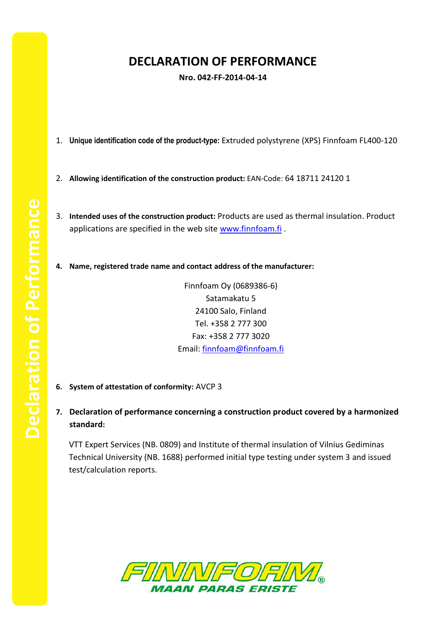## **DECLARATION OF PERFORMANCE**

**Nro. 042-FF-2014-04-14**

- 1. **Unique identification code of the product-type:** Extruded polystyrene (XPS) Finnfoam FL400-120
- 2. **Allowing identification of the construction product:** EAN-Code: 64 18711 24120 1
- 3. **Intended uses of the construction product:** Products are used as thermal insulation. Product applications are specified in the web site [www.finnfoam.fi](http://www.finnfoam.fi/).
- **4. Name, registered trade name and contact address of the manufacturer:**

Finnfoam Oy (0689386-6) Satamakatu 5 24100 Salo, Finland Tel. +358 2 777 300 Fax: +358 2 777 3020 Email: [finnfoam@finnfoam.fi](mailto:finnfoam@finnfoam.fi)

- **6. System of attestation of conformity:** AVCP 3
- **7. Declaration of performance concerning a construction product covered by a harmonized standard:**

VTT Expert Services (NB. 0809) and Institute of thermal insulation of Vilnius Gediminas Technical University (NB. 1688) performed initial type testing under system 3 and issued test/calculation reports.